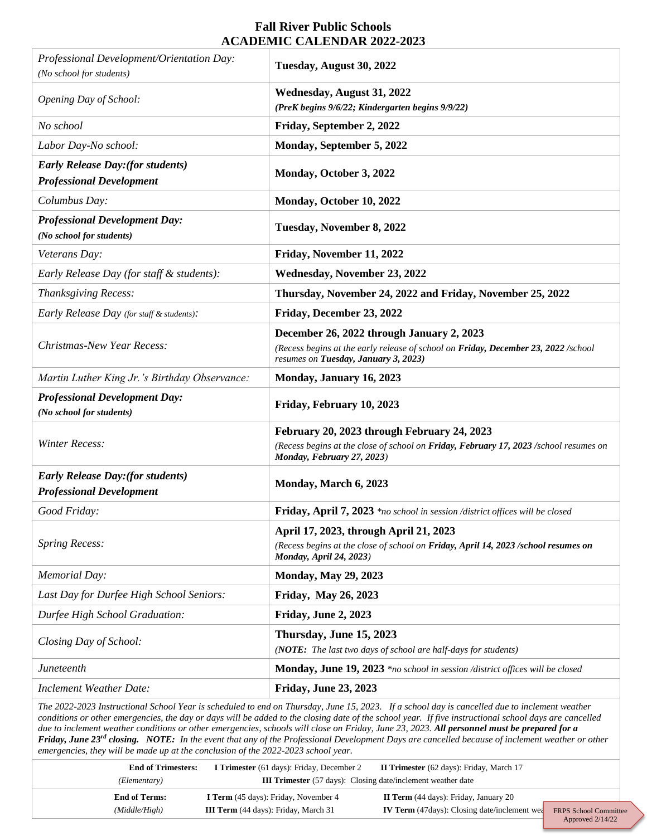## **Fall River Public Schools ACADEMIC CALENDAR 2022-2023**

| Professional Development/Orientation Day:<br>(No school for students)             | Tuesday, August 30, 2022                                                                                                                                                                                                                                                                                                                                                                                                                                                                                                                                                                                              |
|-----------------------------------------------------------------------------------|-----------------------------------------------------------------------------------------------------------------------------------------------------------------------------------------------------------------------------------------------------------------------------------------------------------------------------------------------------------------------------------------------------------------------------------------------------------------------------------------------------------------------------------------------------------------------------------------------------------------------|
| Opening Day of School:                                                            | Wednesday, August 31, 2022<br>(PreK begins 9/6/22; Kindergarten begins 9/9/22)                                                                                                                                                                                                                                                                                                                                                                                                                                                                                                                                        |
| No school                                                                         | Friday, September 2, 2022                                                                                                                                                                                                                                                                                                                                                                                                                                                                                                                                                                                             |
| Labor Day-No school:                                                              | Monday, September 5, 2022                                                                                                                                                                                                                                                                                                                                                                                                                                                                                                                                                                                             |
| <b>Early Release Day: (for students)</b><br><b>Professional Development</b>       | Monday, October 3, 2022                                                                                                                                                                                                                                                                                                                                                                                                                                                                                                                                                                                               |
| Columbus Day:                                                                     | Monday, October 10, 2022                                                                                                                                                                                                                                                                                                                                                                                                                                                                                                                                                                                              |
| <b>Professional Development Day:</b><br>(No school for students)                  | Tuesday, November 8, 2022                                                                                                                                                                                                                                                                                                                                                                                                                                                                                                                                                                                             |
| Veterans Day:                                                                     | Friday, November 11, 2022                                                                                                                                                                                                                                                                                                                                                                                                                                                                                                                                                                                             |
| Early Release Day (for staff & students):                                         | Wednesday, November 23, 2022                                                                                                                                                                                                                                                                                                                                                                                                                                                                                                                                                                                          |
| Thanksgiving Recess:                                                              | Thursday, November 24, 2022 and Friday, November 25, 2022                                                                                                                                                                                                                                                                                                                                                                                                                                                                                                                                                             |
| Early Release Day (for staff & students):                                         | Friday, December 23, 2022                                                                                                                                                                                                                                                                                                                                                                                                                                                                                                                                                                                             |
| <b>Christmas-New Year Recess:</b>                                                 | December 26, 2022 through January 2, 2023<br>(Recess begins at the early release of school on Friday, December 23, 2022 /school<br>resumes on Tuesday, January 3, 2023)                                                                                                                                                                                                                                                                                                                                                                                                                                               |
| Martin Luther King Jr.'s Birthday Observance:                                     | Monday, January 16, 2023                                                                                                                                                                                                                                                                                                                                                                                                                                                                                                                                                                                              |
| <b>Professional Development Day:</b><br>(No school for students)                  | Friday, February 10, 2023                                                                                                                                                                                                                                                                                                                                                                                                                                                                                                                                                                                             |
|                                                                                   |                                                                                                                                                                                                                                                                                                                                                                                                                                                                                                                                                                                                                       |
| <b>Winter Recess:</b>                                                             | February 20, 2023 through February 24, 2023<br>(Recess begins at the close of school on Friday, February 17, 2023 /school resumes on<br>Monday, February 27, 2023)                                                                                                                                                                                                                                                                                                                                                                                                                                                    |
| <b>Early Release Day: (for students)</b><br><b>Professional Development</b>       | Monday, March 6, 2023                                                                                                                                                                                                                                                                                                                                                                                                                                                                                                                                                                                                 |
| Good Friday:                                                                      | Friday, April 7, 2023 *no school in session /district offices will be closed                                                                                                                                                                                                                                                                                                                                                                                                                                                                                                                                          |
| <b>Spring Recess:</b>                                                             | April 17, 2023, through April 21, 2023<br>(Recess begins at the close of school on Friday, April 14, 2023 /school resumes on<br><b>Monday, April 24, 2023)</b>                                                                                                                                                                                                                                                                                                                                                                                                                                                        |
| Memorial Day:                                                                     | <b>Monday, May 29, 2023</b>                                                                                                                                                                                                                                                                                                                                                                                                                                                                                                                                                                                           |
| Last Day for Durfee High School Seniors:                                          | <b>Friday, May 26, 2023</b>                                                                                                                                                                                                                                                                                                                                                                                                                                                                                                                                                                                           |
| Durfee High School Graduation:                                                    | Friday, June 2, 2023                                                                                                                                                                                                                                                                                                                                                                                                                                                                                                                                                                                                  |
| Closing Day of School:                                                            | Thursday, June 15, 2023<br>(NOTE: The last two days of school are half-days for students)                                                                                                                                                                                                                                                                                                                                                                                                                                                                                                                             |
| <b>Juneteenth</b>                                                                 | Monday, June 19, 2023 *no school in session /district offices will be closed                                                                                                                                                                                                                                                                                                                                                                                                                                                                                                                                          |
| <b>Inclement Weather Date:</b>                                                    | <b>Friday, June 23, 2023</b>                                                                                                                                                                                                                                                                                                                                                                                                                                                                                                                                                                                          |
| emergencies, they will be made up at the conclusion of the 2022-2023 school year. | The 2022-2023 Instructional School Year is scheduled to end on Thursday, June 15, 2023. If a school day is cancelled due to inclement weather<br>conditions or other emergencies, the day or days will be added to the closing date of the school year. If five instructional school days are cancelled<br>due to inclement weather conditions or other emergencies, schools will close on Friday, June 23, 2023. All personnel must be prepared for a<br>Friday, June 23 <sup>rd</sup> closing. NOTE: In the event that any of the Professional Development Days are cancelled because of inclement weather or other |
| <b>End of Trimesters:</b><br>(Elementary)                                         | I Trimester (61 days): Friday, December 2<br>II Trimester (62 days): Friday, March 17<br><b>III Trimester</b> (57 days): Closing date/inclement weather date                                                                                                                                                                                                                                                                                                                                                                                                                                                          |

| <b>End of Terms:</b> | <b>I Term</b> (45 days): Friday, November 4 | <b>II Term</b> (44 days): Friday, January 20         |                              |
|----------------------|---------------------------------------------|------------------------------------------------------|------------------------------|
| (Middle/High)        | <b>III Term</b> (44 days): Friday, March 31 | <b>IV Term</b> (47 days): Closing date/inclement wea | <b>FRPS</b> School Committee |
|                      |                                             |                                                      | Approved $2/14/22$           |